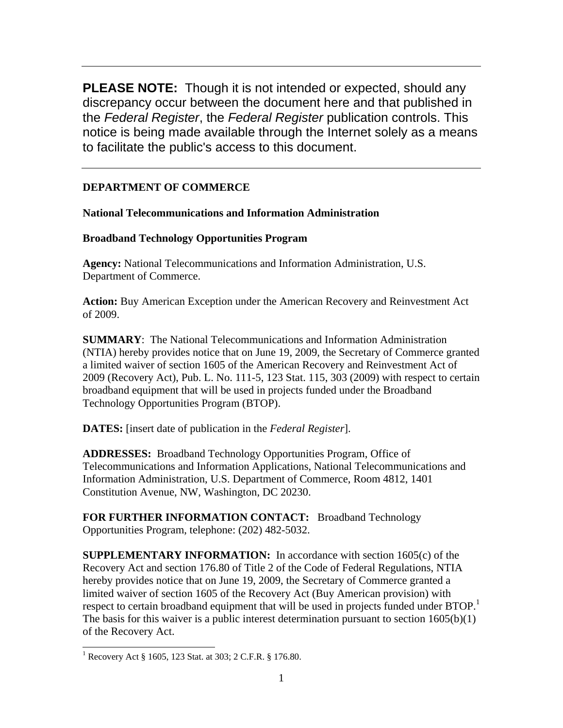**PLEASE NOTE:** Though it is not intended or expected, should any discrepancy occur between the document here and that published in the *Federal Register*, the *Federal Register* publication controls. This notice is being made available through the Internet solely as a means to facilitate the public's access to this document.

# **DEPARTMENT OF COMMERCE**

**National Telecommunications and Information Administration** 

## **Broadband Technology Opportunities Program**

**Agency:** National Telecommunications and Information Administration, U.S. Department of Commerce.

**Action:** Buy American Exception under the American Recovery and Reinvestment Act of 2009.

**SUMMARY**: The National Telecommunications and Information Administration (NTIA) hereby provides notice that on June 19, 2009, the Secretary of Commerce granted a limited waiver of section 1605 of the American Recovery and Reinvestment Act of 2009 (Recovery Act), Pub. L. No. 111-5, 123 Stat. 115, 303 (2009) with respect to certain broadband equipment that will be used in projects funded under the Broadband Technology Opportunities Program (BTOP).

**DATES:** [insert date of publication in the *Federal Register*].

**ADDRESSES:** Broadband Technology Opportunities Program, Office of Telecommunications and Information Applications, National Telecommunications and Information Administration, U.S. Department of Commerce, Room 4812, 1401 Constitution Avenue, NW, Washington, DC 20230.

**FOR FURTHER INFORMATION CONTACT:** Broadband Technology Opportunities Program, telephone: (202) 482-5032.

**SUPPLEMENTARY INFORMATION:** In accordance with section 1605(c) of the Recovery Act and section 176.80 of Title 2 of the Code of Federal Regulations, NTIA hereby provides notice that on June 19, 2009, the Secretary of Commerce granted a limited waiver of section 1605 of the Recovery Act (Buy American provision) with respect to certain broadband equipment that will be used in projects funded under BTOP.<sup>1</sup> The basis for this waiver is a public interest determination pursuant to section  $1605(b)(1)$ of the Recovery Act.

 $\overline{a}$ 

<sup>&</sup>lt;sup>1</sup> Recovery Act § 1605, 123 Stat. at 303; 2 C.F.R. § 176.80.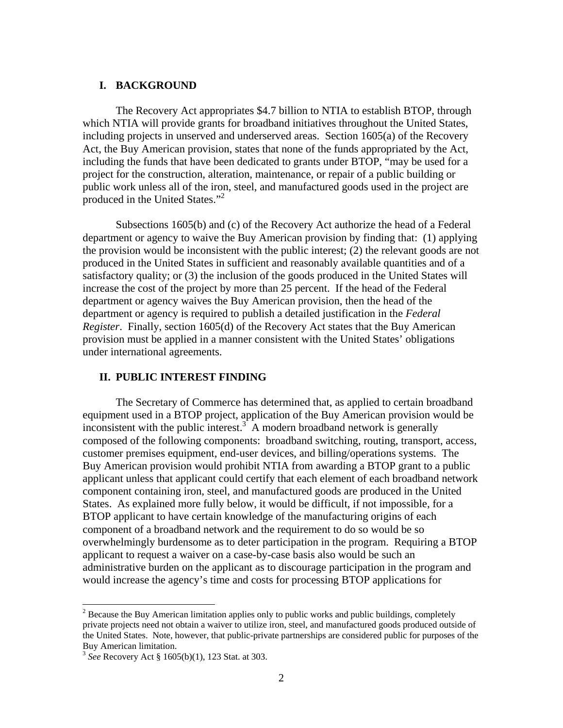#### **I. BACKGROUND**

The Recovery Act appropriates \$4.7 billion to NTIA to establish BTOP, through which NTIA will provide grants for broadband initiatives throughout the United States, including projects in unserved and underserved areas. Section 1605(a) of the Recovery Act, the Buy American provision, states that none of the funds appropriated by the Act, including the funds that have been dedicated to grants under BTOP, "may be used for a project for the construction, alteration, maintenance, or repair of a public building or public work unless all of the iron, steel, and manufactured goods used in the project are produced in the United States."<sup>2</sup>

Subsections 1605(b) and (c) of the Recovery Act authorize the head of a Federal department or agency to waive the Buy American provision by finding that: (1) applying the provision would be inconsistent with the public interest; (2) the relevant goods are not produced in the United States in sufficient and reasonably available quantities and of a satisfactory quality; or (3) the inclusion of the goods produced in the United States will increase the cost of the project by more than 25 percent. If the head of the Federal department or agency waives the Buy American provision, then the head of the department or agency is required to publish a detailed justification in the *Federal Register*. Finally, section 1605(d) of the Recovery Act states that the Buy American provision must be applied in a manner consistent with the United States' obligations under international agreements.

#### **II. PUBLIC INTEREST FINDING**

The Secretary of Commerce has determined that, as applied to certain broadband equipment used in a BTOP project, application of the Buy American provision would be inconsistent with the public interest. $\frac{3}{3}$  A modern broadband network is generally composed of the following components: broadband switching, routing, transport, access, customer premises equipment, end-user devices, and billing/operations systems. The Buy American provision would prohibit NTIA from awarding a BTOP grant to a public applicant unless that applicant could certify that each element of each broadband network component containing iron, steel, and manufactured goods are produced in the United States. As explained more fully below, it would be difficult, if not impossible, for a BTOP applicant to have certain knowledge of the manufacturing origins of each component of a broadband network and the requirement to do so would be so overwhelmingly burdensome as to deter participation in the program. Requiring a BTOP applicant to request a waiver on a case-by-case basis also would be such an administrative burden on the applicant as to discourage participation in the program and would increase the agency's time and costs for processing BTOP applications for

 $\overline{a}$ 

 $2^{2}$  Because the Buy American limitation applies only to public works and public buildings, completely private projects need not obtain a waiver to utilize iron, steel, and manufactured goods produced outside of the United States. Note, however, that public-private partnerships are considered public for purposes of the Buy American limitation.

<sup>3</sup> *See* Recovery Act § 1605(b)(1), 123 Stat. at 303.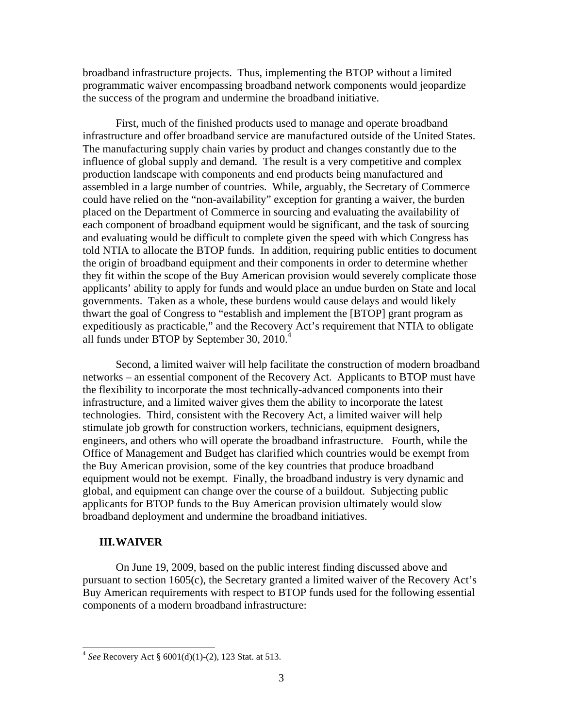broadband infrastructure projects. Thus, implementing the BTOP without a limited programmatic waiver encompassing broadband network components would jeopardize the success of the program and undermine the broadband initiative.

First, much of the finished products used to manage and operate broadband infrastructure and offer broadband service are manufactured outside of the United States. The manufacturing supply chain varies by product and changes constantly due to the influence of global supply and demand. The result is a very competitive and complex production landscape with components and end products being manufactured and assembled in a large number of countries. While, arguably, the Secretary of Commerce could have relied on the "non-availability" exception for granting a waiver, the burden placed on the Department of Commerce in sourcing and evaluating the availability of each component of broadband equipment would be significant, and the task of sourcing and evaluating would be difficult to complete given the speed with which Congress has told NTIA to allocate the BTOP funds. In addition, requiring public entities to document the origin of broadband equipment and their components in order to determine whether they fit within the scope of the Buy American provision would severely complicate those applicants' ability to apply for funds and would place an undue burden on State and local governments. Taken as a whole, these burdens would cause delays and would likely thwart the goal of Congress to "establish and implement the [BTOP] grant program as expeditiously as practicable," and the Recovery Act's requirement that NTIA to obligate all funds under BTOP by September 30, 2010.

Second, a limited waiver will help facilitate the construction of modern broadband networks – an essential component of the Recovery Act. Applicants to BTOP must have the flexibility to incorporate the most technically-advanced components into their infrastructure, and a limited waiver gives them the ability to incorporate the latest technologies. Third, consistent with the Recovery Act, a limited waiver will help stimulate job growth for construction workers, technicians, equipment designers, engineers, and others who will operate the broadband infrastructure. Fourth, while the Office of Management and Budget has clarified which countries would be exempt from the Buy American provision, some of the key countries that produce broadband equipment would not be exempt. Finally, the broadband industry is very dynamic and global, and equipment can change over the course of a buildout. Subjecting public applicants for BTOP funds to the Buy American provision ultimately would slow broadband deployment and undermine the broadband initiatives.

#### **III.WAIVER**

 $\overline{a}$ 

On June 19, 2009, based on the public interest finding discussed above and pursuant to section 1605(c), the Secretary granted a limited waiver of the Recovery Act's Buy American requirements with respect to BTOP funds used for the following essential components of a modern broadband infrastructure:

<sup>4</sup> *See* Recovery Act § 6001(d)(1)-(2), 123 Stat. at 513.